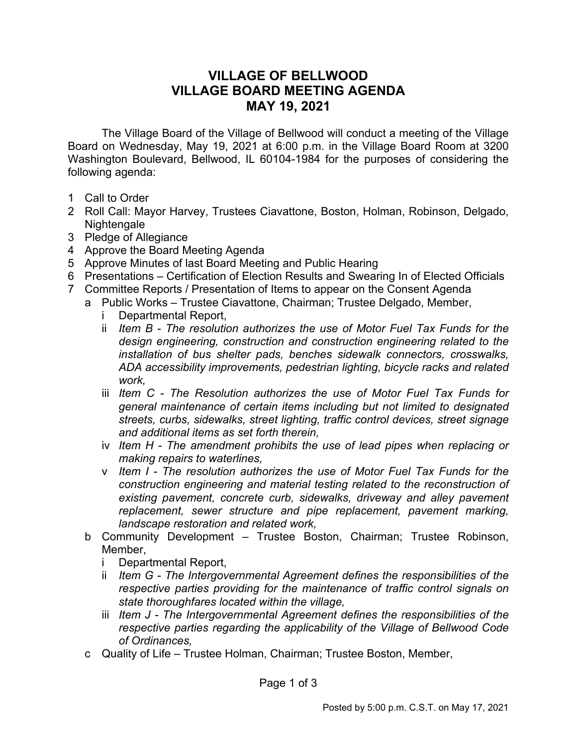## **VILLAGE OF BELLWOOD VILLAGE BOARD MEETING AGENDA MAY 19, 2021**

The Village Board of the Village of Bellwood will conduct a meeting of the Village Board on Wednesday, May 19, 2021 at 6:00 p.m. in the Village Board Room at 3200 Washington Boulevard, Bellwood, IL 60104-1984 for the purposes of considering the following agenda:

- 1 Call to Order
- 2 Roll Call: Mayor Harvey, Trustees Ciavattone, Boston, Holman, Robinson, Delgado, Nightengale
- 3 Pledge of Allegiance
- 4 Approve the Board Meeting Agenda
- 5 Approve Minutes of last Board Meeting and Public Hearing
- 6 Presentations Certification of Election Results and Swearing In of Elected Officials
- 7 Committee Reports / Presentation of Items to appear on the Consent Agenda
	- a Public Works Trustee Ciavattone, Chairman; Trustee Delgado, Member,
		- i Departmental Report,
		- ii *Item B The resolution authorizes the use of Motor Fuel Tax Funds for the design engineering, construction and construction engineering related to the installation of bus shelter pads, benches sidewalk connectors, crosswalks, ADA accessibility improvements, pedestrian lighting, bicycle racks and related work,*
		- iii *Item C - The Resolution authorizes the use of Motor Fuel Tax Funds for general maintenance of certain items including but not limited to designated streets, curbs, sidewalks, street lighting, traffic control devices, street signage and additional items as set forth therein,*
		- iv *Item H - The amendment prohibits the use of lead pipes when replacing or making repairs to waterlines,*
		- v *Item I - The resolution authorizes the use of Motor Fuel Tax Funds for the construction engineering and material testing related to the reconstruction of existing pavement, concrete curb, sidewalks, driveway and alley pavement replacement, sewer structure and pipe replacement, pavement marking, landscape restoration and related work,*
		- b Community Development Trustee Boston, Chairman; Trustee Robinson, Member,
			- i Departmental Report,
			- ii *Item G The Intergovernmental Agreement defines the responsibilities of the respective parties providing for the maintenance of traffic control signals on state thoroughfares located within the village,*
			- iii *Item J The Intergovernmental Agreement defines the responsibilities of the respective parties regarding the applicability of the Village of Bellwood Code of Ordinances,*
		- c Quality of Life Trustee Holman, Chairman; Trustee Boston, Member,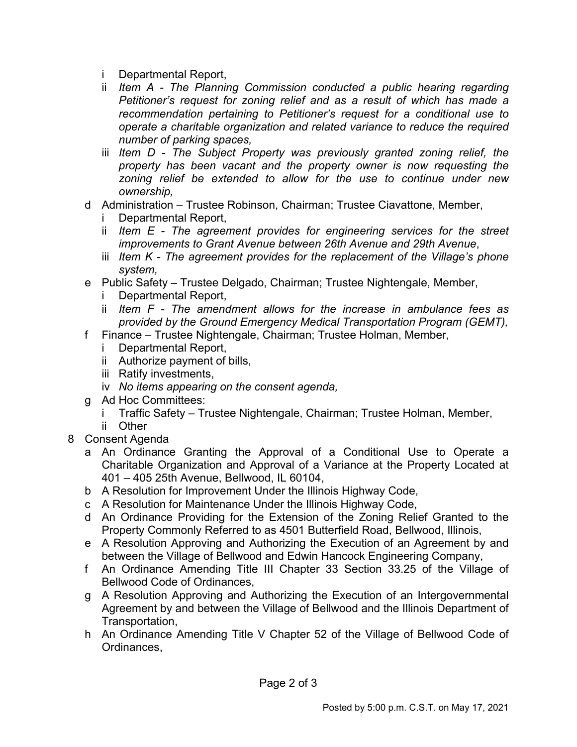- i Departmental Report,
- ii *Item A The Planning Commission conducted a public hearing regarding Petitioner's request for zoning relief and as a result of which has made a recommendation pertaining to Petitioner's request for a conditional use to operate a charitable organization and related variance to reduce the required number of parking spaces,*
- iii *Item D The Subject Property was previously granted zoning relief, the property has been vacant and the property owner is now requesting the zoning relief be extended to allow for the use to continue under new ownership,*
- d Administration Trustee Robinson, Chairman; Trustee Ciavattone, Member,
	- i Departmental Report,
	- ii *Item E The agreement provides for engineering services for the street improvements to Grant Avenue between 26th Avenue and 29th Avenue*,
	- iii *Item K The agreement provides for the replacement of the Village's phone system,*
- e Public Safety Trustee Delgado, Chairman; Trustee Nightengale, Member,
	- i Departmental Report,
	- ii *Item F The amendment allows for the increase in ambulance fees as provided by the Ground Emergency Medical Transportation Program (GEMT),*
- f Finance Trustee Nightengale, Chairman; Trustee Holman, Member,
	- i Departmental Report,
	- ii Authorize payment of bills,
	- iii Ratify investments,
	- iv *No items appearing on the consent agenda,*
- g Ad Hoc Committees:
	- i Traffic Safety Trustee Nightengale, Chairman; Trustee Holman, Member,
	- ii Other
- 8 Consent Agenda
	- a An Ordinance Granting the Approval of a Conditional Use to Operate a Charitable Organization and Approval of a Variance at the Property Located at 401 – 405 25th Avenue, Bellwood, IL 60104,
	- b A Resolution for Improvement Under the Illinois Highway Code,
	- c A Resolution for Maintenance Under the Illinois Highway Code,
	- d An Ordinance Providing for the Extension of the Zoning Relief Granted to the Property Commonly Referred to as 4501 Butterfield Road, Bellwood, Illinois,
	- e A Resolution Approving and Authorizing the Execution of an Agreement by and between the Village of Bellwood and Edwin Hancock Engineering Company,
	- f An Ordinance Amending Title III Chapter 33 Section 33.25 of the Village of Bellwood Code of Ordinances,
	- g A Resolution Approving and Authorizing the Execution of an Intergovernmental Agreement by and between the Village of Bellwood and the Illinois Department of Transportation,
	- h An Ordinance Amending Title V Chapter 52 of the Village of Bellwood Code of Ordinances,